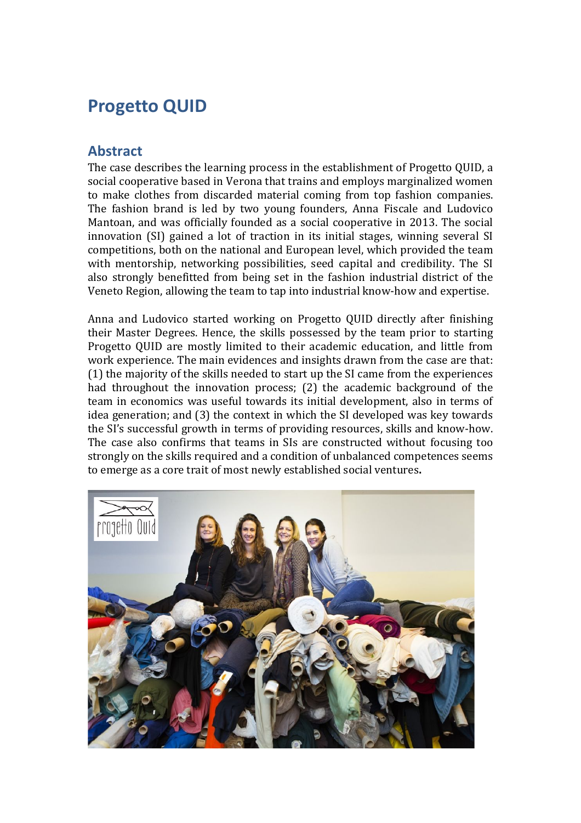# **Progetto QUID**

### **Abstract**

The case describes the learning process in the establishment of Progetto QUID, a social cooperative based in Verona that trains and employs marginalized women to make clothes from discarded material coming from top fashion companies. The fashion brand is led by two young founders, Anna Fiscale and Ludovico Mantoan, and was officially founded as a social cooperative in 2013. The social innovation (SI) gained a lot of traction in its initial stages, winning several SI competitions, both on the national and European level, which provided the team with mentorship, networking possibilities, seed capital and credibility. The SI also strongly benefitted from being set in the fashion industrial district of the Veneto Region, allowing the team to tap into industrial know-how and expertise.

Anna and Ludovico started working on Progetto QUID directly after finishing their Master Degrees. Hence, the skills possessed by the team prior to starting Progetto QUID are mostly limited to their academic education, and little from work experience. The main evidences and insights drawn from the case are that: (1) the majority of the skills needed to start up the SI came from the experiences had throughout the innovation process; (2) the academic background of the team in economics was useful towards its initial development, also in terms of idea generation; and (3) the context in which the SI developed was key towards the SI's successful growth in terms of providing resources, skills and know-how. The case also confirms that teams in SIs are constructed without focusing too strongly on the skills required and a condition of unbalanced competences seems to emerge as a core trait of most newly established social ventures**.**

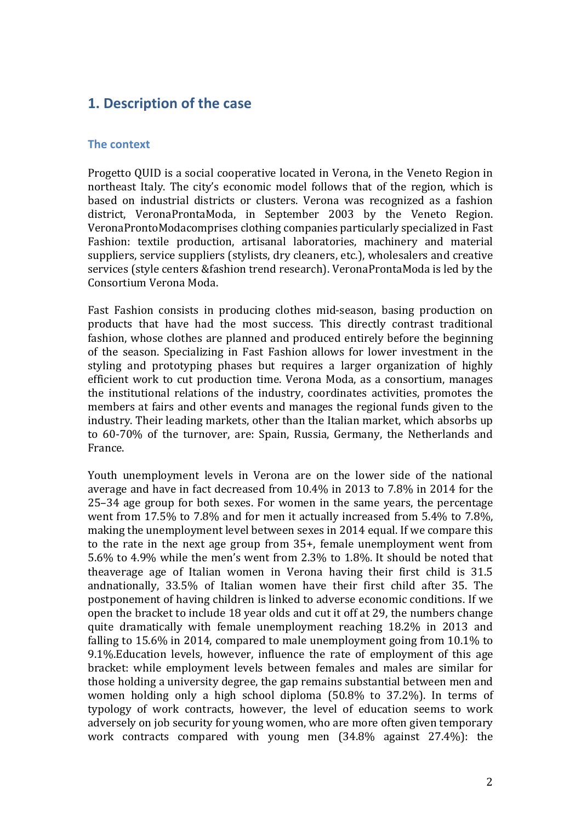# **1. Description of the case**

#### **The context**

Progetto QUID is a social cooperative located in Verona, in the Veneto Region in northeast Italy. The city's economic model follows that of the region, which is based on industrial districts or clusters. Verona was recognized as a fashion district, VeronaProntaModa, in September 2003 by the Veneto Region. VeronaProntoModacomprises clothing companies particularly specialized in Fast Fashion: textile production, artisanal laboratories, machinery and material suppliers, service suppliers (stylists, dry cleaners, etc.), wholesalers and creative services (style centers &fashion trend research). VeronaProntaModa is led by the Consortium Verona Moda.

Fast Fashion consists in producing clothes mid-season, basing production on products that have had the most success. This directly contrast traditional fashion, whose clothes are planned and produced entirely before the beginning of the season. Specializing in Fast Fashion allows for lower investment in the styling and prototyping phases but requires a larger organization of highly efficient work to cut production time. Verona Moda, as a consortium, manages the institutional relations of the industry, coordinates activities, promotes the members at fairs and other events and manages the regional funds given to the industry. Their leading markets, other than the Italian market, which absorbs up to 60-70% of the turnover, are: Spain, Russia, Germany, the Netherlands and France.

Youth unemployment levels in Verona are on the lower side of the national average and have in fact decreased from 10.4% in 2013 to 7.8% in 2014 for the 25–34 age group for both sexes. For women in the same years, the percentage went from 17.5% to 7.8% and for men it actually increased from 5.4% to 7.8%, making the unemployment level between sexes in 2014 equal. If we compare this to the rate in the next age group from 35+, female unemployment went from 5.6% to 4.9% while the men's went from 2.3% to 1.8%. It should be noted that theaverage age of Italian women in Verona having their first child is 31.5 andnationally, 33.5% of Italian women have their first child after 35. The postponement of having children is linked to adverse economic conditions. If we open the bracket to include 18 year olds and cut it off at 29, the numbers change quite dramatically with female unemployment reaching 18.2% in 2013 and falling to 15.6% in 2014, compared to male unemployment going from 10.1% to 9.1%.Education levels, however, influence the rate of employment of this age bracket: while employment levels between females and males are similar for those holding a university degree, the gap remains substantial between men and women holding only a high school diploma (50.8% to 37.2%). In terms of typology of work contracts, however, the level of education seems to work adversely on job security for young women, who are more often given temporary work contracts compared with young men (34.8% against 27.4%): the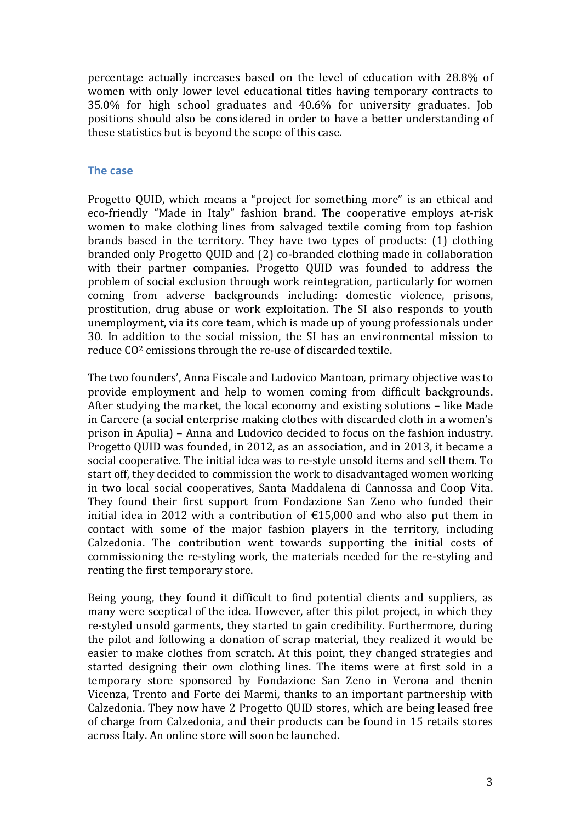percentage actually increases based on the level of education with 28.8% of women with only lower level educational titles having temporary contracts to 35.0% for high school graduates and 40.6% for university graduates. Job positions should also be considered in order to have a better understanding of these statistics but is beyond the scope of this case.

#### **The case**

Progetto QUID, which means a "project for something more" is an ethical and eco-friendly "Made in Italy" fashion brand. The cooperative employs at-risk women to make clothing lines from salvaged textile coming from top fashion brands based in the territory. They have two types of products: (1) clothing branded only Progetto QUID and (2) co-branded clothing made in collaboration with their partner companies. Progetto QUID was founded to address the problem of social exclusion through work reintegration, particularly for women coming from adverse backgrounds including: domestic violence, prisons, prostitution, drug abuse or work exploitation. The SI also responds to youth unemployment, via its core team, which is made up of young professionals under 30. In addition to the social mission, the SI has an environmental mission to reduce CO2 emissions through the re-use of discarded textile.

The two founders', Anna Fiscale and Ludovico Mantoan, primary objective was to provide employment and help to women coming from difficult backgrounds. After studying the market, the local economy and existing solutions – like Made in Carcere (a social enterprise making clothes with discarded cloth in a women's prison in Apulia) – Anna and Ludovico decided to focus on the fashion industry. Progetto QUID was founded, in 2012, as an association, and in 2013, it became a social cooperative. The initial idea was to re-style unsold items and sell them. To start off, they decided to commission the work to disadvantaged women working in two local social cooperatives, Santa Maddalena di Cannossa and Coop Vita. They found their first support from Fondazione San Zeno who funded their initial idea in 2012 with a contribution of  $£15,000$  and who also put them in contact with some of the major fashion players in the territory, including Calzedonia. The contribution went towards supporting the initial costs of commissioning the re-styling work, the materials needed for the re-styling and renting the first temporary store.

Being young, they found it difficult to find potential clients and suppliers, as many were sceptical of the idea. However, after this pilot project, in which they re-styled unsold garments, they started to gain credibility. Furthermore, during the pilot and following a donation of scrap material, they realized it would be easier to make clothes from scratch. At this point, they changed strategies and started designing their own clothing lines. The items were at first sold in a temporary store sponsored by Fondazione San Zeno in Verona and thenin Vicenza, Trento and Forte dei Marmi, thanks to an important partnership with Calzedonia. They now have 2 Progetto QUID stores, which are being leased free of charge from Calzedonia, and their products can be found in 15 retails stores across Italy. An online store will soon be launched.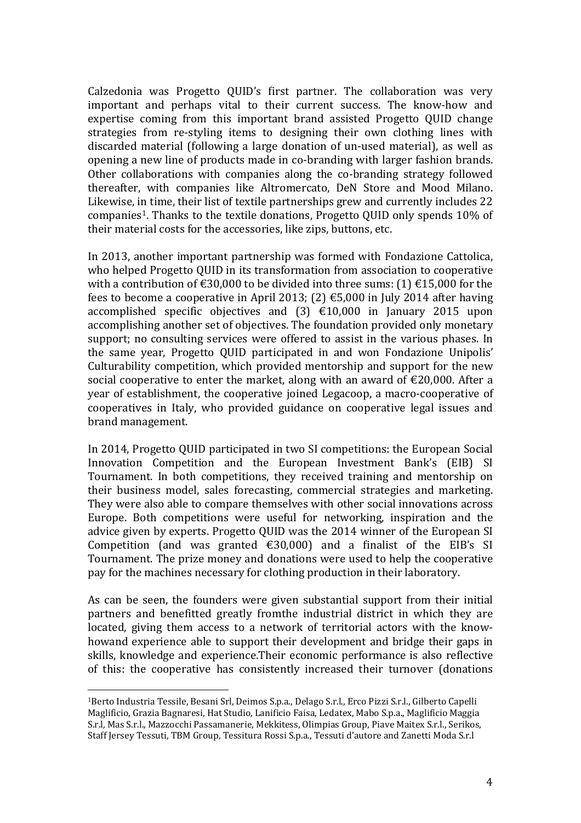Calzedonia was Progetto QUID's first partner. The collaboration was very important and perhaps vital to their current success. The know-how and expertise coming from this important brand assisted Progetto QUID change strategies from re-styling items to designing their own clothing lines with discarded material (following a large donation of un-used material), as well as opening a new line of products made in co-branding with larger fashion brands. Other collaborations with companies along the co-branding strategy followed thereafter, with companies like Altromercato, DeN Store and Mood Milano. Likewise, in time, their list of textile partnerships grew and currently includes 22 companies[1](#page-3-0). Thanks to the textile donations, Progetto QUID only spends 10% of their material costs for the accessories, like zips, buttons, etc.

In 2013, another important partnership was formed with Fondazione Cattolica, who helped Progetto QUID in its transformation from association to cooperative with a contribution of  $\text{\textsterling}30,000$  to be divided into three sums: (1)  $\text{\textsterling}15,000$  for the fees to become a cooperative in April 2013; (2)  $\epsilon$ 5,000 in July 2014 after having accomplished specific objectives and  $(3)$   $\in$ 10,000 in January 2015 upon accomplishing another set of objectives. The foundation provided only monetary support; no consulting services were offered to assist in the various phases. In the same year, Progetto QUID participated in and won Fondazione Unipolis' Culturability competition, which provided mentorship and support for the new social cooperative to enter the market, along with an award of  $\epsilon$ 20,000. After a year of establishment, the cooperative joined Legacoop, a macro-cooperative of cooperatives in Italy, who provided guidance on cooperative legal issues and brand management.

In 2014, Progetto QUID participated in two SI competitions: the European Social Innovation Competition and the European Investment Bank's (EIB) SI Tournament. In both competitions, they received training and mentorship on their business model, sales forecasting, commercial strategies and marketing. They were also able to compare themselves with other social innovations across Europe. Both competitions were useful for networking, inspiration and the advice given by experts. Progetto QUID was the 2014 winner of the European SI Competition (and was granted  $\epsilon$ 30,000) and a finalist of the EIB's SI Tournament. The prize money and donations were used to help the cooperative pay for the machines necessary for clothing production in their laboratory.

As can be seen, the founders were given substantial support from their initial partners and benefitted greatly fromthe industrial district in which they are located, giving them access to a network of territorial actors with the knowhowand experience able to support their development and bridge their gaps in skills, knowledge and experience.Their economic performance is also reflective of this: the cooperative has consistently increased their turnover (donations

<span id="page-3-0"></span> <sup>1</sup>Berto Industria Tessile, Besani Srl, Deimos S.p.a., Delago S.r.l., Erco Pizzi S.r.l., Gilberto Capelli Maglificio, Grazia Bagnaresi, Hat Studio, Lanificio Faisa, Ledatex, Mabo S.p.a., Maglificio Maggia S.r.l, Mas S.r.l., Mazzocchi Passamanerie, Mekkitess, Olimpias Group, Piave Maitex S.r.l., Serikos, Staff Jersey Tessuti, TBM Group, Tessitura Rossi S.p.a., Tessuti d'autore and Zanetti Moda S.r.l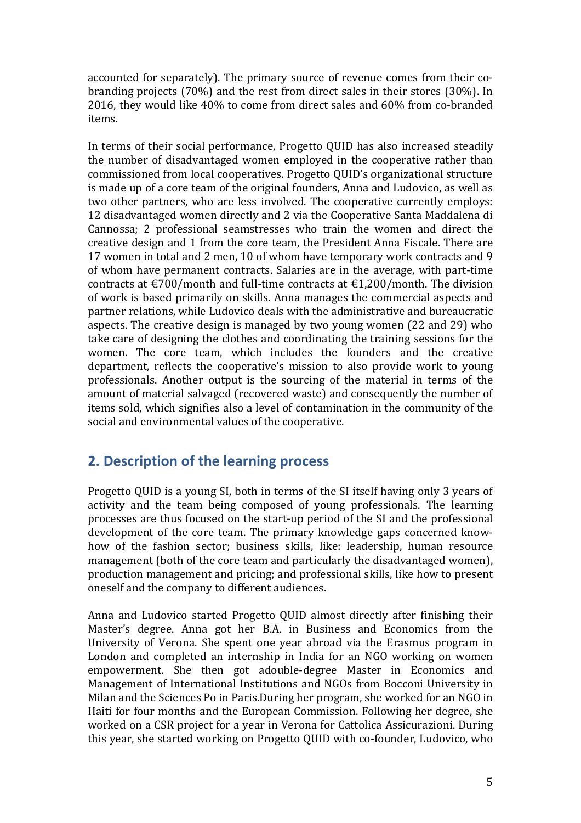accounted for separately). The primary source of revenue comes from their cobranding projects (70%) and the rest from direct sales in their stores (30%). In 2016, they would like 40% to come from direct sales and 60% from co-branded items.

In terms of their social performance, Progetto QUID has also increased steadily the number of disadvantaged women employed in the cooperative rather than commissioned from local cooperatives. Progetto QUID's organizational structure is made up of a core team of the original founders, Anna and Ludovico, as well as two other partners, who are less involved. The cooperative currently employs: 12 disadvantaged women directly and 2 via the Cooperative Santa Maddalena di Cannossa; 2 professional seamstresses who train the women and direct the creative design and 1 from the core team, the President Anna Fiscale. There are 17 women in total and 2 men, 10 of whom have temporary work contracts and 9 of whom have permanent contracts. Salaries are in the average, with part-time contracts at  $\text{\textsterling}700$ /month and full-time contracts at  $\text{\textsterling}1,200$ /month. The division of work is based primarily on skills. Anna manages the commercial aspects and partner relations, while Ludovico deals with the administrative and bureaucratic aspects. The creative design is managed by two young women (22 and 29) who take care of designing the clothes and coordinating the training sessions for the women. The core team, which includes the founders and the creative department, reflects the cooperative's mission to also provide work to young professionals. Another output is the sourcing of the material in terms of the amount of material salvaged (recovered waste) and consequently the number of items sold, which signifies also a level of contamination in the community of the social and environmental values of the cooperative.

# **2. Description of the learning process**

Progetto QUID is a young SI, both in terms of the SI itself having only 3 years of activity and the team being composed of young professionals. The learning processes are thus focused on the start-up period of the SI and the professional development of the core team. The primary knowledge gaps concerned knowhow of the fashion sector; business skills, like: leadership, human resource management (both of the core team and particularly the disadvantaged women), production management and pricing; and professional skills, like how to present oneself and the company to different audiences.

Anna and Ludovico started Progetto QUID almost directly after finishing their Master's degree. Anna got her B.A. in Business and Economics from the University of Verona. She spent one year abroad via the Erasmus program in London and completed an internship in India for an NGO working on women empowerment. She then got adouble-degree Master in Economics and Management of International Institutions and NGOs from Bocconi University in Milan and the Sciences Po in Paris.During her program, she worked for an NGO in Haiti for four months and the European Commission. Following her degree, she worked on a CSR project for a year in Verona for Cattolica Assicurazioni. During this year, she started working on Progetto QUID with co-founder, Ludovico, who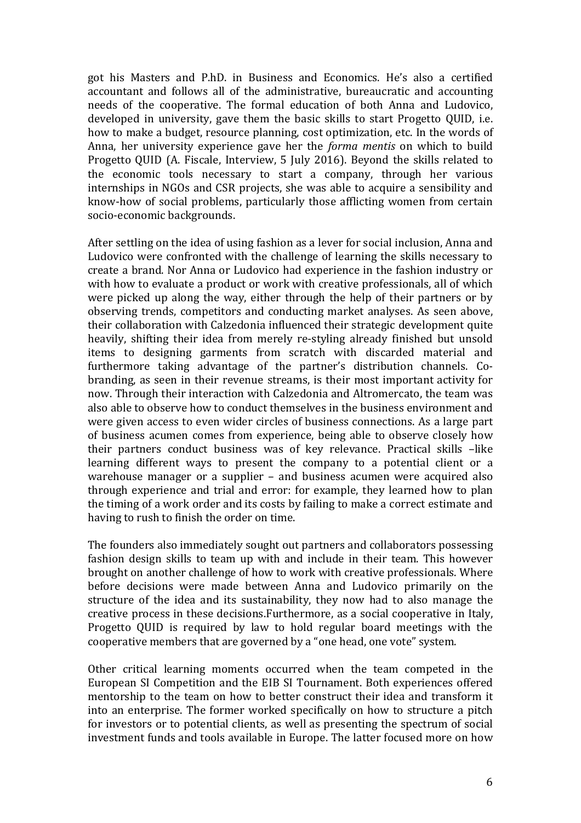got his Masters and P.hD. in Business and Economics. He's also a certified accountant and follows all of the administrative, bureaucratic and accounting needs of the cooperative. The formal education of both Anna and Ludovico, developed in university, gave them the basic skills to start Progetto QUID, i.e. how to make a budget, resource planning, cost optimization, etc. In the words of Anna, her university experience gave her the *forma mentis* on which to build Progetto QUID (A. Fiscale, Interview, 5 July 2016). Beyond the skills related to the economic tools necessary to start a company, through her various internships in NGOs and CSR projects, she was able to acquire a sensibility and know-how of social problems, particularly those afflicting women from certain socio-economic backgrounds.

After settling on the idea of using fashion as a lever for social inclusion, Anna and Ludovico were confronted with the challenge of learning the skills necessary to create a brand. Nor Anna or Ludovico had experience in the fashion industry or with how to evaluate a product or work with creative professionals, all of which were picked up along the way, either through the help of their partners or by observing trends, competitors and conducting market analyses. As seen above, their collaboration with Calzedonia influenced their strategic development quite heavily, shifting their idea from merely re-styling already finished but unsold items to designing garments from scratch with discarded material and furthermore taking advantage of the partner's distribution channels. Cobranding, as seen in their revenue streams, is their most important activity for now. Through their interaction with Calzedonia and Altromercato, the team was also able to observe how to conduct themselves in the business environment and were given access to even wider circles of business connections. As a large part of business acumen comes from experience, being able to observe closely how their partners conduct business was of key relevance. Practical skills –like learning different ways to present the company to a potential client or a warehouse manager or a supplier – and business acumen were acquired also through experience and trial and error: for example, they learned how to plan the timing of a work order and its costs by failing to make a correct estimate and having to rush to finish the order on time.

The founders also immediately sought out partners and collaborators possessing fashion design skills to team up with and include in their team. This however brought on another challenge of how to work with creative professionals. Where before decisions were made between Anna and Ludovico primarily on the structure of the idea and its sustainability, they now had to also manage the creative process in these decisions.Furthermore, as a social cooperative in Italy, Progetto QUID is required by law to hold regular board meetings with the cooperative members that are governed by a "one head, one vote" system.

Other critical learning moments occurred when the team competed in the European SI Competition and the EIB SI Tournament. Both experiences offered mentorship to the team on how to better construct their idea and transform it into an enterprise. The former worked specifically on how to structure a pitch for investors or to potential clients, as well as presenting the spectrum of social investment funds and tools available in Europe. The latter focused more on how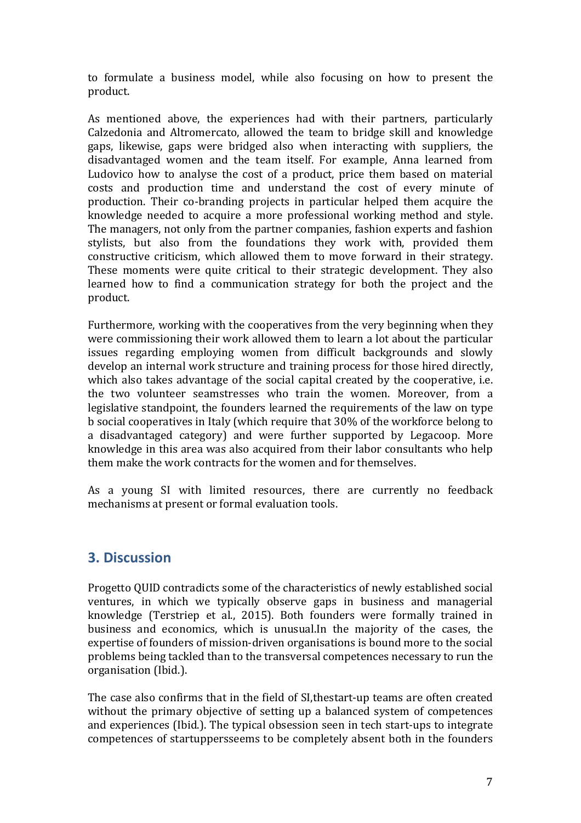to formulate a business model, while also focusing on how to present the product.

As mentioned above, the experiences had with their partners, particularly Calzedonia and Altromercato, allowed the team to bridge skill and knowledge gaps, likewise, gaps were bridged also when interacting with suppliers, the disadvantaged women and the team itself. For example, Anna learned from Ludovico how to analyse the cost of a product, price them based on material costs and production time and understand the cost of every minute of production. Their co-branding projects in particular helped them acquire the knowledge needed to acquire a more professional working method and style. The managers, not only from the partner companies, fashion experts and fashion stylists, but also from the foundations they work with, provided them constructive criticism, which allowed them to move forward in their strategy. These moments were quite critical to their strategic development. They also learned how to find a communication strategy for both the project and the product.

Furthermore, working with the cooperatives from the very beginning when they were commissioning their work allowed them to learn a lot about the particular issues regarding employing women from difficult backgrounds and slowly develop an internal work structure and training process for those hired directly, which also takes advantage of the social capital created by the cooperative, i.e. the two volunteer seamstresses who train the women. Moreover, from a legislative standpoint, the founders learned the requirements of the law on type b social cooperatives in Italy (which require that 30% of the workforce belong to a disadvantaged category) and were further supported by Legacoop. More knowledge in this area was also acquired from their labor consultants who help them make the work contracts for the women and for themselves.

As a young SI with limited resources, there are currently no feedback mechanisms at present or formal evaluation tools.

### **3. Discussion**

Progetto QUID contradicts some of the characteristics of newly established social ventures, in which we typically observe gaps in business and managerial knowledge (Terstriep et al., 2015). Both founders were formally trained in business and economics, which is unusual.In the majority of the cases, the expertise of founders of mission-driven organisations is bound more to the social problems being tackled than to the transversal competences necessary to run the organisation (Ibid.).

The case also confirms that in the field of SI,thestart-up teams are often created without the primary objective of setting up a balanced system of competences and experiences (Ibid.). The typical obsession seen in tech start-ups to integrate competences of startuppersseems to be completely absent both in the founders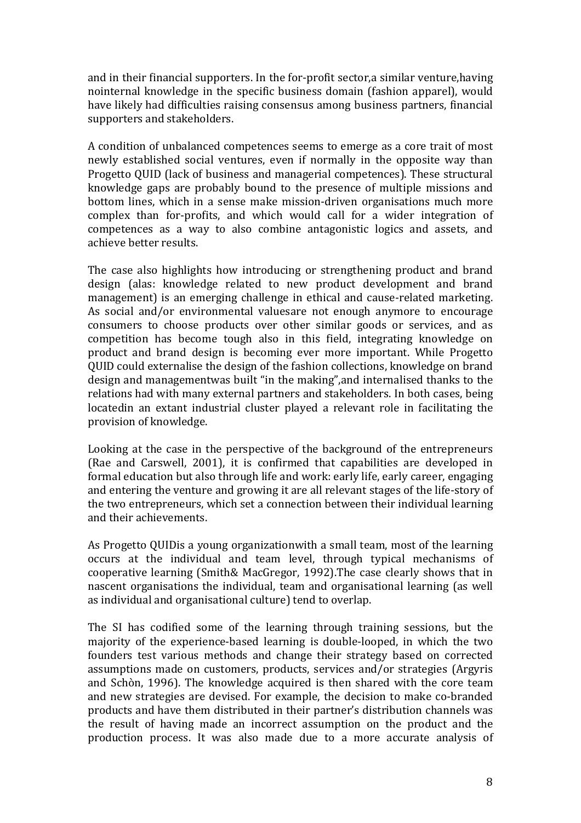and in their financial supporters. In the for-profit sector,a similar venture,having nointernal knowledge in the specific business domain (fashion apparel), would have likely had difficulties raising consensus among business partners, financial supporters and stakeholders.

A condition of unbalanced competences seems to emerge as a core trait of most newly established social ventures, even if normally in the opposite way than Progetto QUID (lack of business and managerial competences). These structural knowledge gaps are probably bound to the presence of multiple missions and bottom lines, which in a sense make mission-driven organisations much more complex than for-profits, and which would call for a wider integration of competences as a way to also combine antagonistic logics and assets, and achieve better results.

The case also highlights how introducing or strengthening product and brand design (alas: knowledge related to new product development and brand management) is an emerging challenge in ethical and cause-related marketing. As social and/or environmental valuesare not enough anymore to encourage consumers to choose products over other similar goods or services, and as competition has become tough also in this field, integrating knowledge on product and brand design is becoming ever more important. While Progetto QUID could externalise the design of the fashion collections, knowledge on brand design and managementwas built "in the making",and internalised thanks to the relations had with many external partners and stakeholders. In both cases, being locatedin an extant industrial cluster played a relevant role in facilitating the provision of knowledge.

Looking at the case in the perspective of the background of the entrepreneurs (Rae and Carswell, 2001), it is confirmed that capabilities are developed in formal education but also through life and work: early life, early career, engaging and entering the venture and growing it are all relevant stages of the life-story of the two entrepreneurs, which set a connection between their individual learning and their achievements.

As Progetto QUIDis a young organizationwith a small team, most of the learning occurs at the individual and team level, through typical mechanisms of cooperative learning (Smith& MacGregor, 1992).The case clearly shows that in nascent organisations the individual, team and organisational learning (as well as individual and organisational culture) tend to overlap.

The SI has codified some of the learning through training sessions, but the majority of the experience-based learning is double-looped, in which the two founders test various methods and change their strategy based on corrected assumptions made on customers, products, services and/or strategies (Argyris and Schòn, 1996). The knowledge acquired is then shared with the core team and new strategies are devised. For example, the decision to make co-branded products and have them distributed in their partner's distribution channels was the result of having made an incorrect assumption on the product and the production process. It was also made due to a more accurate analysis of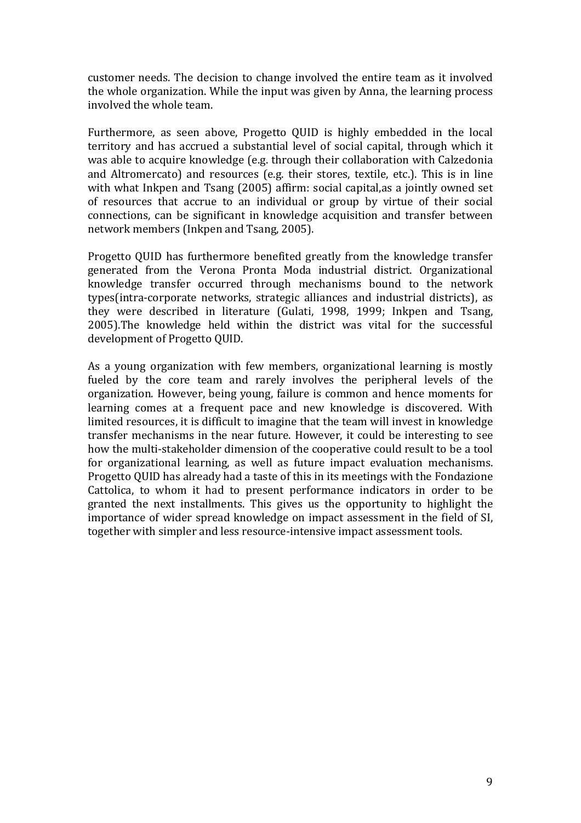customer needs. The decision to change involved the entire team as it involved the whole organization. While the input was given by Anna, the learning process involved the whole team.

Furthermore, as seen above, Progetto QUID is highly embedded in the local territory and has accrued a substantial level of social capital, through which it was able to acquire knowledge (e.g. through their collaboration with Calzedonia and Altromercato) and resources (e.g. their stores, textile, etc.). This is in line with what Inkpen and Tsang (2005) affirm: social capital,as a jointly owned set of resources that accrue to an individual or group by virtue of their social connections, can be significant in knowledge acquisition and transfer between network members (Inkpen and Tsang, 2005).

Progetto QUID has furthermore benefited greatly from the knowledge transfer generated from the Verona Pronta Moda industrial district. Organizational knowledge transfer occurred through mechanisms bound to the network types(intra-corporate networks, strategic alliances and industrial districts), as they were described in literature (Gulati, 1998, 1999; Inkpen and Tsang, 2005).The knowledge held within the district was vital for the successful development of Progetto QUID.

As a young organization with few members, organizational learning is mostly fueled by the core team and rarely involves the peripheral levels of the organization. However, being young, failure is common and hence moments for learning comes at a frequent pace and new knowledge is discovered. With limited resources, it is difficult to imagine that the team will invest in knowledge transfer mechanisms in the near future. However, it could be interesting to see how the multi-stakeholder dimension of the cooperative could result to be a tool for organizational learning, as well as future impact evaluation mechanisms. Progetto QUID has already had a taste of this in its meetings with the Fondazione Cattolica, to whom it had to present performance indicators in order to be granted the next installments. This gives us the opportunity to highlight the importance of wider spread knowledge on impact assessment in the field of SI, together with simpler and less resource-intensive impact assessment tools.